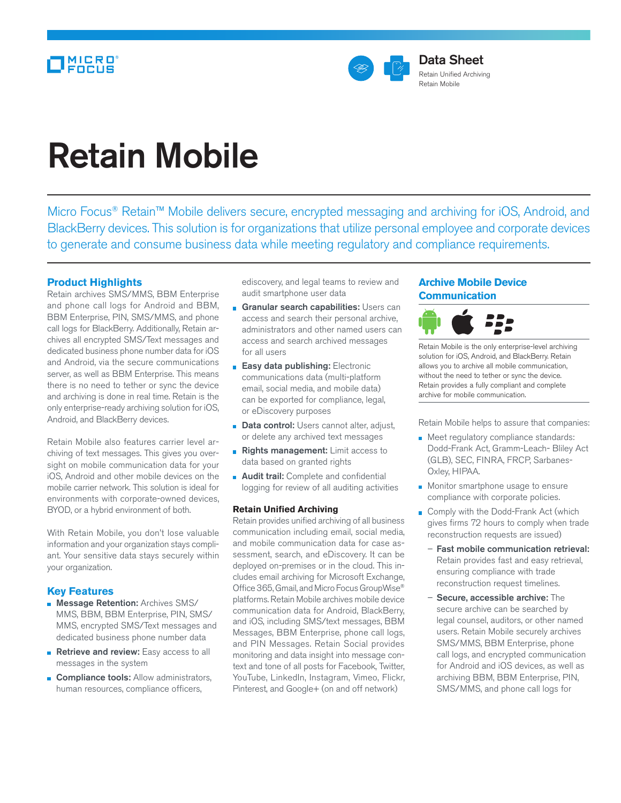

# Retain Mobile

Micro Focus<sup>®</sup> Retain™ Mobile delivers secure, encrypted messaging and archiving for iOS, Android, and BlackBerry devices. This solution is for organizations that utilize personal employee and corporate devices to generate and consume business data while meeting regulatory and compliance requirements.

# **Product Highlights**

Retain archives SMS/MMS, BBM Enterprise and phone call logs for Android and BBM, BBM Enterprise, PIN, SMS/MMS, and phone call logs for BlackBerry. Additionally, Retain archives all encrypted SMS/Text messages and dedicated business phone number data for iOS and Android, via the secure communications server, as well as BBM Enterprise. This means there is no need to tether or sync the device and archiving is done in real time. Retain is the only enterprise-ready archiving solution for iOS, Android, and BlackBerry devices.

Retain Mobile also features carrier level archiving of text messages. This gives you oversight on mobile communication data for your iOS, Android and other mobile devices on the mobile carrier network. This solution is ideal for environments with corporate-owned devices, BYOD, or a hybrid environment of both.

With Retain Mobile, you don't lose valuable information and your organization stays compliant. Your sensitive data stays securely within your organization.

# **Key Features**

- **Message Retention: Archives SMS/** MMS, BBM, BBM Enterprise, PIN, SMS/ MMS, encrypted SMS/Text messages and dedicated business phone number data
- Retrieve and review: Easy access to all messages in the system
- **Compliance tools:** Allow administrators, human resources, compliance officers,

ediscovery, and legal teams to review and audit smartphone user data

- **Granular search capabilities: Users can** access and search their personal archive, administrators and other named users can access and search archived messages for all users
- **Easy data publishing: Electronic** communications data (multi-platform email, social media, and mobile data) can be exported for compliance, legal, or eDiscovery purposes
- **Data control:** Users cannot alter, adjust, or delete any archived text messages
- Rights management: Limit access to data based on granted rights
- **Audit trail:** Complete and confidential logging for review of all auditing activities

## **Retain Unified Archiving**

Retain provides unified archiving of all business communication including email, social media, and mobile communication data for case assessment, search, and eDiscovery. It can be deployed on-premises or in the cloud. This includes email archiving for Microsoft Exchange, Office 365, Gmail, and Micro Focus GroupWise® platforms. Retain Mobile archives mobile device communication data for Android, BlackBerry, and iOS, including SMS/text messages, BBM Messages, BBM Enterprise, phone call logs, and PIN Messages. Retain Social provides monitoring and data insight into message context and tone of all posts for Facebook, Twitter, YouTube, LinkedIn, Instagram, Vimeo, Flickr, Pinterest, and Google+ (on and off network)

# **Archive Mobile Device Communication**



Retain Mobile is the only enterprise-level archiving solution for iOS, Android, and BlackBerry. Retain allows you to archive all mobile communication, without the need to tether or sync the device. Retain provides a fully compliant and complete archive for mobile communication.

Retain Mobile helps to assure that companies:

- **Meet regulatory compliance standards:** Dodd-Frank Act, Gramm-Leach- Bliley Act (GLB), SEC, FINRA, FRCP, Sarbanes-Oxley, HIPAA.
- **Monitor smartphone usage to ensure** compliance with corporate policies.
- Comply with the Dodd-Frank Act (which gives firms 72 hours to comply when trade reconstruction requests are issued)
	- Fast mobile communication retrieval: Retain provides fast and easy retrieval, ensuring compliance with trade reconstruction request timelines.
	- Secure, accessible archive: The secure archive can be searched by legal counsel, auditors, or other named users. Retain Mobile securely archives SMS/MMS, BBM Enterprise, phone call logs, and encrypted communication for Android and iOS devices, as well as archiving BBM, BBM Enterprise, PIN, SMS/MMS, and phone call logs for